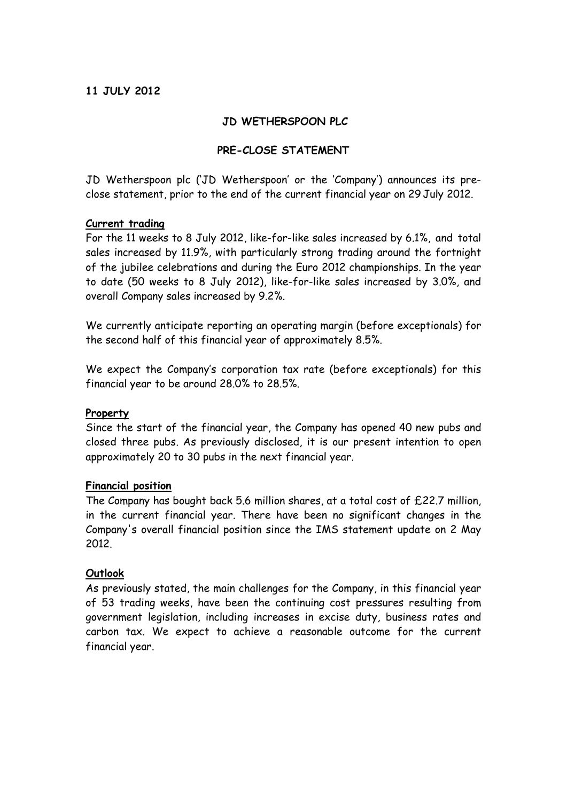## **11 JULY 2012**

## **JD WETHERSPOON PLC**

## **PRE-CLOSE STATEMENT**

JD Wetherspoon plc ('JD Wetherspoon' or the 'Company') announces its preclose statement, prior to the end of the current financial year on 29 July 2012.

#### **Current trading**

For the 11 weeks to 8 July 2012, like-for-like sales increased by 6.1%, and total sales increased by 11.9%, with particularly strong trading around the fortnight of the jubilee celebrations and during the Euro 2012 championships. In the year to date (50 weeks to 8 July 2012), like-for-like sales increased by 3.0%, and overall Company sales increased by 9.2%.

We currently anticipate reporting an operating margin (before exceptionals) for the second half of this financial year of approximately 8.5%.

We expect the Company's corporation tax rate (before exceptionals) for this financial year to be around 28.0% to 28.5%.

#### **Property**

Since the start of the financial year, the Company has opened 40 new pubs and closed three pubs. As previously disclosed, it is our present intention to open approximately 20 to 30 pubs in the next financial year.

#### **Financial position**

The Company has bought back 5.6 million shares, at a total cost of £22.7 million, in the current financial year. There have been no significant changes in the Company's overall financial position since the IMS statement update on 2 May 2012.

## **Outlook**

As previously stated, the main challenges for the Company, in this financial year of 53 trading weeks, have been the continuing cost pressures resulting from government legislation, including increases in excise duty, business rates and carbon tax. We expect to achieve a reasonable outcome for the current financial year.